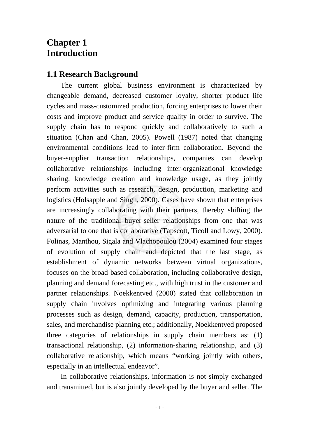## **Chapter 1 Introduction**

## **1.1 Research Background**

The current global business environment is characterized by changeable demand, decreased customer loyalty, shorter product life cycles and mass-customized production, forcing enterprises to lower their costs and improve product and service quality in order to survive. The supply chain has to respond quickly and collaboratively to such a situation (Chan and Chan, 2005). Powell (1987) noted that changing environmental conditions lead to inter-firm collaboration. Beyond the buyer-supplier transaction relationships, companies can develop collaborative relationships including inter-organizational knowledge sharing, knowledge creation and knowledge usage, as they jointly perform activities such as research, design, production, marketing and logistics (Holsapple and Singh, 2000). Cases have shown that enterprises are increasingly collaborating with their partners, thereby shifting the nature of the traditional buyer-seller relationships from one that was adversarial to one that is collaborative (Tapscott, Ticoll and Lowy, 2000). Folinas, Manthou, Sigala and Vlachopoulou (2004) examined four stages of evolution of supply chain and depicted that the last stage, as establishment of dynamic networks between virtual organizations, focuses on the broad-based collaboration, including collaborative design, planning and demand forecasting etc., with high trust in the customer and partner relationships. Noekkentved (2000) stated that collaboration in supply chain involves optimizing and integrating various planning processes such as design, demand, capacity, production, transportation, sales, and merchandise planning etc.; additionally, Noekkentved proposed three categories of relationships in supply chain members as: (1) transactional relationship, (2) information-sharing relationship, and (3) collaborative relationship, which means "working jointly with others, especially in an intellectual endeavor".

In collaborative relationships, information is not simply exchanged and transmitted, but is also jointly developed by the buyer and seller. The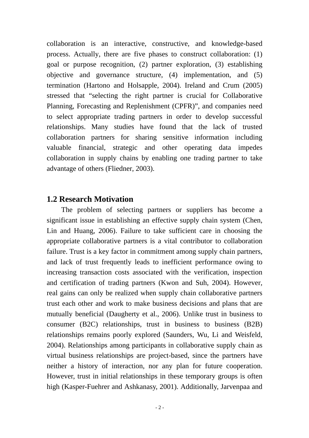collaboration is an interactive, constructive, and knowledge-based process. Actually, there are five phases to construct collaboration: (1) goal or purpose recognition, (2) partner exploration, (3) establishing objective and governance structure, (4) implementation, and (5) termination (Hartono and Holsapple, 2004). Ireland and Crum (2005) stressed that "selecting the right partner is crucial for Collaborative Planning, Forecasting and Replenishment (CPFR)", and companies need to select appropriate trading partners in order to develop successful relationships. Many studies have found that the lack of trusted collaboration partners for sharing sensitive information including valuable financial, strategic and other operating data impedes collaboration in supply chains by enabling one trading partner to take advantage of others (Fliedner, 2003).

## **1.2 Research Motivation**

The problem of selecting partners or suppliers has become a significant issue in establishing an effective supply chain system (Chen, Lin and Huang, 2006). Failure to take sufficient care in choosing the appropriate collaborative partners is a vital contributor to collaboration failure. Trust is a key factor in commitment among supply chain partners, and lack of trust frequently leads to inefficient performance owing to increasing transaction costs associated with the verification, inspection and certification of trading partners (Kwon and Suh, 2004). However, real gains can only be realized when supply chain collaborative partners trust each other and work to make business decisions and plans that are mutually beneficial (Daugherty et al., 2006). Unlike trust in business to consumer (B2C) relationships, trust in business to business (B2B) relationships remains poorly explored (Saunders, Wu, Li and Weisfeld, 2004). Relationships among participants in collaborative supply chain as virtual business relationships are project-based, since the partners have neither a history of interaction, nor any plan for future cooperation. However, trust in initial relationships in these temporary groups is often high (Kasper-Fuehrer and Ashkanasy, 2001). Additionally, Jarvenpaa and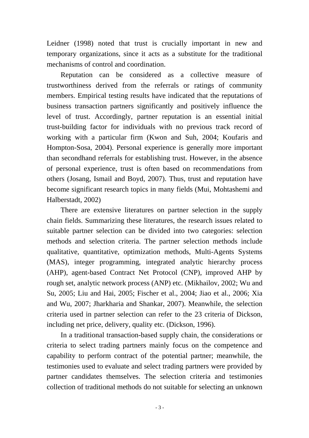Leidner (1998) noted that trust is crucially important in new and temporary organizations, since it acts as a substitute for the traditional mechanisms of control and coordination.

Reputation can be considered as a collective measure of trustworthiness derived from the referrals or ratings of community members. Empirical testing results have indicated that the reputations of business transaction partners significantly and positively influence the level of trust. Accordingly, partner reputation is an essential initial trust-building factor for individuals with no previous track record of working with a particular firm (Kwon and Suh, 2004; Koufaris and Hompton-Sosa, 2004). Personal experience is generally more important than secondhand referrals for establishing trust. However, in the absence of personal experience, trust is often based on recommendations from others (Josang, Ismail and Boyd, 2007). Thus, trust and reputation have become significant research topics in many fields (Mui, Mohtashemi and Halberstadt, 2002)

There are extensive literatures on partner selection in the supply chain fields. Summarizing these literatures, the research issues related to suitable partner selection can be divided into two categories: selection methods and selection criteria. The partner selection methods include qualitative, quantitative, optimization methods, Multi-Agents Systems (MAS), integer programming, integrated analytic hierarchy process (AHP), agent-based Contract Net Protocol (CNP), improved AHP by rough set, analytic network process (ANP) etc. (Mikhailov, 2002; Wu and Su, 2005; Liu and Hai, 2005; Fischer et al., 2004; Jiao et al., 2006; Xia and Wu, 2007; Jharkharia and Shankar, 2007). Meanwhile, the selection criteria used in partner selection can refer to the 23 criteria of Dickson, including net price, delivery, quality etc. (Dickson, 1996).

In a traditional transaction-based supply chain, the considerations or criteria to select trading partners mainly focus on the competence and capability to perform contract of the potential partner; meanwhile, the testimonies used to evaluate and select trading partners were provided by partner candidates themselves. The selection criteria and testimonies collection of traditional methods do not suitable for selecting an unknown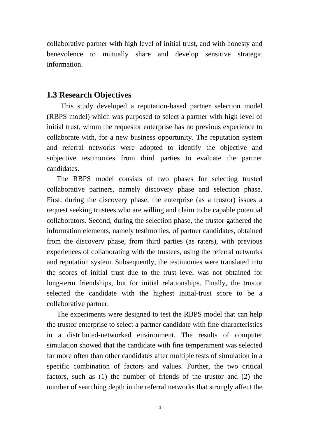collaborative partner with high level of initial trust, and with honesty and benevolence to mutually share and develop sensitive strategic information.

## **1.3 Research Objectives**

This study developed a reputation-based partner selection model (RBPS model) which was purposed to select a partner with high level of initial trust, whom the requestor enterprise has no previous experience to collaborate with, for a new business opportunity. The reputation system and referral networks were adopted to identify the objective and subjective testimonies from third parties to evaluate the partner candidates.

The RBPS model consists of two phases for selecting trusted collaborative partners, namely discovery phase and selection phase. First, during the discovery phase, the enterprise (as a trustor) issues a request seeking trustees who are willing and claim to be capable potential collaborators. Second, during the selection phase, the trustor gathered the information elements, namely testimonies, of partner candidates, obtained from the discovery phase, from third parties (as raters), with previous experiences of collaborating with the trustees, using the referral networks and reputation system. Subsequently, the testimonies were translated into the scores of initial trust due to the trust level was not obtained for long-term friendships, but for initial relationships. Finally, the trustor selected the candidate with the highest initial-trust score to be a collaborative partner.

The experiments were designed to test the RBPS model that can help the trustor enterprise to select a partner candidate with fine characteristics in a distributed-networked environment. The results of computer simulation showed that the candidate with fine temperament was selected far more often than other candidates after multiple tests of simulation in a specific combination of factors and values. Further, the two critical factors, such as (1) the number of friends of the trustor and (2) the number of searching depth in the referral networks that strongly affect the